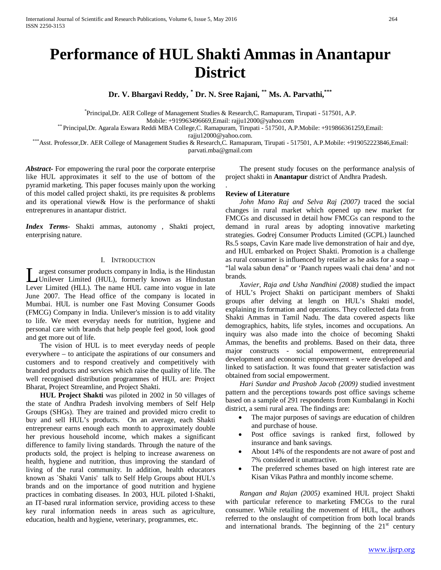# **Performance of HUL Shakti Ammas in Anantapur District**

**Dr. V. Bhargavi Reddy, \* Dr. N. Sree Rajani, \*\* Ms. A. Parvathi,\*\*\***

\* Principal,Dr. AER College of Management Studies & Research,C. Ramapuram, Tirupati - 517501, A.P.

Mobile: +919963496669,Email: rajju12000@yahoo.com<br>{\* Principal,Dr. Agarala Eswara Reddi MBA College,C. Ramapuram, Tirupati - 517501, A.P.Mobile: +919866361259,Email:<br>rajju12000@yahoo.com.

\*\*\*Asst. Professor,Dr. AER College of Management Studies & Research,C. Ramapuram, Tirupati - 517501, A.P.Mobile: +919052223846,Email: parvati.mba@gmail.com

.

*Abstract***-** For empowering the rural poor the corporate enterprise like HUL approximates it self to the use of bottom of the pyramid marketing. This paper focuses mainly upon the working of this model called project shakti, its pre requisites & problems and its operational view& How is the performance of shakti entreprenures in anantapur district.

*Index Terms*- Shakti ammas, autonomy , Shakti project, enterprising nature.

## I. INTRODUCTION

argest consumer products company in India, is the Hindustan Unilever Limited (HUL), formerly known as Hindustan Lever Limited (HUL), formerly known as Hindustan Lever Limited (HUL). The name HUL came into vogue in late June 2007. The Head office of the company is located in Mumbai. HUL is number one Fast Moving Consumer Goods (FMCG) Company in India. Unilever's mission is to add vitality to life. We meet everyday needs for nutrition, hygiene and personal care with brands that help people feel good, look good and get more out of life.

 The vision of HUL is to meet everyday needs of people everywhere – to anticipate the aspirations of our consumers and customers and to respond creatively and competitively with branded products and services which raise the quality of life. The well recognised distribution programmes of HUL are: Project Bharat, Project Streamline, and Project Shakti.

 **HUL Project Shakti** was piloted in 2002 in 50 villages of the state of Andhra Pradesh involving members of Self Help Groups (SHGs). They are trained and provided micro credit to buy and sell HUL's products. On an average, each Shakti entrepreneur earns enough each month to approximately double her previous household income, which makes a significant difference to family living standards. Through the nature of the products sold, the project is helping to increase awareness on health, hygiene and nutrition, thus improving the standard of living of the rural community. In addition, health educators known as `Shakti Vanis' talk to Self Help Groups about HUL's brands and on the importance of good nutrition and hygiene practices in combating diseases. In 2003, HUL piloted I-Shakti, an IT-based rural information service, providing access to these key rural information needs in areas such as agriculture, education, health and hygiene, veterinary, programmes, etc.

 The present study focuses on the performance analysis of project shakti in **Anantapur** district of Andhra Pradesh.

#### **Review of Literature**

 *John Mano Raj and Selva Raj (2007)* traced the social changes in rural market which opened up new market for FMCGs and discussed in detail how FMCGs can respond to the demand in rural areas by adopting innovative marketing strategies. Godrej Consumer Products Limited (GCPL) launched Rs.5 soaps, Cavin Kare made live demonstration of hair and dye, and HUL embarked on Project Shakti. Promotion is a challenge as rural consumer is influenced by retailer as he asks for a soap – "lal wala sabun dena" or 'Paanch rupees waali chai dena' and not brands.

 *Xavier, Raja and Usha Nandhini (2008)* studied the impact of HUL's Project Shakti on participant members of Shakti groups after delving at length on HUL's Shakti model, explaining its formation and operations. They collected data from Shakti Ammas in Tamil Nadu. The data covered aspects like demographics, habits, life styles, incomes and occupations. An inquiry was also made into the choice of becoming Shakti Ammas, the benefits and problems. Based on their data, three major constructs - social empowerment, entrepreneurial development and economic empowerment - were developed and linked to satisfaction. It was found that greater satisfaction was obtained from social empowerment.

 *Hari Sundar and Prashob Jacob (2009)* studied investment pattern and the perceptions towards post office savings scheme based on a sample of 291 respondents from Kumbalangi in Kochi district, a semi rural area. The findings are:

- The major purposes of savings are education of children and purchase of house.
- Post office savings is ranked first, followed by insurance and bank savings.
- About 14% of the respondents are not aware of post and 7% considered it unattractive.
- The preferred schemes based on high interest rate are Kisan Vikas Pathra and monthly income scheme.

 *Rangan and Rajan (2005)* examined HUL project Shakti with particular reference to marketing FMCGs to the rural consumer. While retailing the movement of HUL, the authors referred to the onslaught of competition from both local brands and international brands. The beginning of the  $21<sup>st</sup>$  century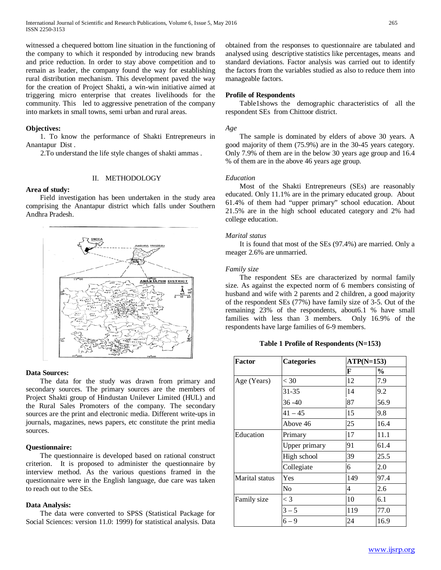witnessed a chequered bottom line situation in the functioning of the company to which it responded by introducing new brands and price reduction. In order to stay above competition and to remain as leader, the company found the way for establishing rural distribution mechanism. This development paved the way for the creation of Project Shakti, a win-win initiative aimed at triggering micro enterprise that creates livelihoods for the community. This led to aggressive penetration of the company into markets in small towns, semi urban and rural areas.

#### **Objectives:**

 1. To know the performance of Shakti Entrepreneurs in Anantapur Dist .

2.To understand the life style changes of shakti ammas .

#### II. METHODOLOGY

## **Area of study:**

 Field investigation has been undertaken in the study area comprising the Anantapur district which falls under Southern Andhra Pradesh.



## **Data Sources:**

 The data for the study was drawn from primary and secondary sources. The primary sources are the members of Project Shakti group of Hindustan Unilever Limited (HUL) and the Rural Sales Promoters of the company. The secondary sources are the print and electronic media. Different write-ups in journals, magazines, news papers, etc constitute the print media sources.

## **Questionnaire:**

 The questionnaire is developed based on rational construct criterion. It is proposed to administer the questionnaire by interview method. As the various questions framed in the questionnaire were in the English language, due care was taken to reach out to the SEs.

## **Data Analysis:**

 The data were converted to SPSS (Statistical Package for Social Sciences: version 11.0: 1999) for statistical analysis. Data obtained from the responses to questionnaire are tabulated and analysed using descriptive statistics like percentages, means and standard deviations. Factor analysis was carried out to identify the factors from the variables studied as also to reduce them into manageable factors.

#### **Profile of Respondents**

 Table1shows the demographic characteristics of all the respondent SEs from Chittoor district.

#### *Age*

 The sample is dominated by elders of above 30 years. A good majority of them (75.9%) are in the 30-45 years category. Only 7.9% of them are in the below 30 years age group and 16.4 % of them are in the above 46 years age group.

#### *Education*

 Most of the Shakti Entrepreneurs (SEs) are reasonably educated. Only 11.1% are in the primary educated group. About 61.4% of them had "upper primary" school education. About 21.5% are in the high school educated category and 2% had college education.

#### *Marital status*

 It is found that most of the SEs (97.4%) are married. Only a meager 2.6% are unmarried.

#### *Family size*

 The respondent SEs are characterized by normal family size. As against the expected norm of 6 members consisting of husband and wife with 2 parents and 2 children, a good majority of the respondent SEs (77%) have family size of 3-5. Out of the remaining 23% of the respondents, about6.1 % have small families with less than 3 members. Only 16.9% of the respondents have large families of 6-9 members.

**Table 1 Profile of Respondents (N=153)**

| Factor         | <b>Categories</b> |     | $ATP(N=153)$ |  |
|----------------|-------------------|-----|--------------|--|
|                |                   | F   | $\%$         |  |
| Age (Years)    | $<$ 30            | 12  | 7.9          |  |
|                | 31-35             | 14  | 9.2          |  |
|                | $36 - 40$         | 87  | 56.9         |  |
|                | $41 - 45$         | 15  | 9.8          |  |
|                | Above 46          | 25  | 16.4         |  |
| Education      | Primary           | 17  | 11.1         |  |
|                | Upper primary     | 91  | 61.4         |  |
|                | High school       | 39  | 25.5         |  |
|                | Collegiate        | 6   | 2.0          |  |
| Marital status | Yes               | 149 | 97.4         |  |
|                | No                | 4   | 2.6          |  |
| Family size    | $\lt 3$           | 10  | 6.1          |  |
|                | $3 - 5$           | 119 | 77.0         |  |
|                | $6 - 9$           | 24  | 16.9         |  |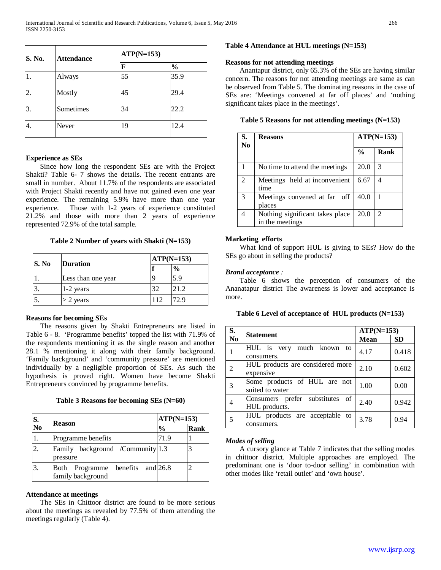| S. No. | <b>Attendance</b> | $ATP(N=153)$ |               |  |
|--------|-------------------|--------------|---------------|--|
|        |                   | F            | $\frac{6}{9}$ |  |
|        | Always            | 55           | 35.9          |  |
| 2.     | Mostly            | 45           | 29.4          |  |
| 3.     | Sometimes         | 34           | 22.2          |  |
| 4.     | Never             | 19           | 12.4          |  |

## **Experience as SEs**

 Since how long the respondent SEs are with the Project Shakti? Table 6- 7 shows the details. The recent entrants are small in number. About 11.7% of the respondents are associated with Project Shakti recently and have not gained even one year experience. The remaining 5.9% have more than one year experience. Those with 1-2 years of experience constituted 21.2% and those with more than 2 years of experience represented 72.9% of the total sample.

**Table 2 Number of years with Shakti (N=153)**

| S. No | <b>Duration</b>    |     | $ATP(N=153)$  |  |
|-------|--------------------|-----|---------------|--|
|       |                    |     | $\frac{0}{0}$ |  |
|       | Less than one year |     | 5.9           |  |
|       | 1-2 years          | 32  | 21.2          |  |
|       | $>$ 2 years        | 112 | 72 9          |  |

## **Reasons for becoming SEs**

 The reasons given by Shakti Entrepreneurs are listed in Table 6 - 8. 'Programme benefits' topped the list with 71.9% of the respondents mentioning it as the single reason and another 28.1 % mentioning it along with their family background. 'Family background' and 'community pressure' are mentioned individually by a negligible proportion of SEs. As such the hypothesis is proved right. Women have become Shakti Entrepreneurs convinced by programme benefits.

|  |  |  | Table 3 Reasons for becoming SEs (N=60) |  |  |
|--|--|--|-----------------------------------------|--|--|
|--|--|--|-----------------------------------------|--|--|

| S.<br>No | <b>Reason</b>                                         | $ATP(N=153)$  |      |
|----------|-------------------------------------------------------|---------------|------|
|          |                                                       | $\frac{0}{0}$ | Rank |
|          | Programme benefits                                    | 71.9          |      |
| 2.       | Family background /Community 1.3<br>pressure          |               |      |
| 3.       | Both Programme benefits and 26.8<br>family background |               |      |

## **Attendance at meetings**

 The SEs in Chittoor district are found to be more serious about the meetings as revealed by 77.5% of them attending the meetings regularly (Table 4).

## **Table 4 Attendance at HUL meetings (N=153)**

### **Reasons for not attending meetings**

 Anantapur district, only 65.3% of the SEs are having similar concern. The reasons for not attending meetings are same as can be observed from Table 5. The dominating reasons in the case of SEs are: 'Meetings convened at far off places' and 'nothing significant takes place in the meetings'.

**Table 5 Reasons for not attending meetings (N=153)**

| S.<br>N <sub>0</sub> | <b>Reasons</b>                                     | $ATP(N=153)$  |                |
|----------------------|----------------------------------------------------|---------------|----------------|
|                      |                                                    | $\frac{0}{0}$ | Rank           |
|                      | No time to attend the meetings                     | 20.0          | 3              |
| $\mathfrak{D}$       | Meetings held at inconvenient<br>time              | 6.67          | 4              |
| $\mathcal{R}$        | Meetings convened at far off<br>places             | 40.0          |                |
| 4                    | Nothing significant takes place<br>in the meetings | 20.0          | $\mathfrak{D}$ |

## **Marketing efforts**

 What kind of support HUL is giving to SEs? How do the SEs go about in selling the products?

## *Brand acceptance :*

 Table 6 shows the perception of consumers of the Ananatapur district The awareness is lower and acceptance is more.

| Table 6 Level of acceptance of HUL products (N=153) |  |
|-----------------------------------------------------|--|
|                                                     |  |

| S.             | <b>Statement</b>                                 | $ATP(N=153)$ |           |
|----------------|--------------------------------------------------|--------------|-----------|
| N <sub>0</sub> |                                                  | Mean         | <b>SD</b> |
|                | HUL is very much known to<br>consumers.          | 4.17         | 0.418     |
| 2              | HUL products are considered more<br>expensive    | 2.10         | 0.602     |
| 3              | Some products of HUL are not<br>suited to water  | 1.00         | 0.00      |
| 4              | Consumers prefer substitutes of<br>HUL products. | 2.40         | 0.942     |
| 5              | HUL products are acceptable to<br>consumers.     | 3.78         | 0.94      |

## *Modes of selling*

 A cursory glance at Table 7 indicates that the selling modes in chittoor district. Multiple approaches are employed. The predominant one is 'door to-door selling' in combination with other modes like 'retail outlet' and 'own house'.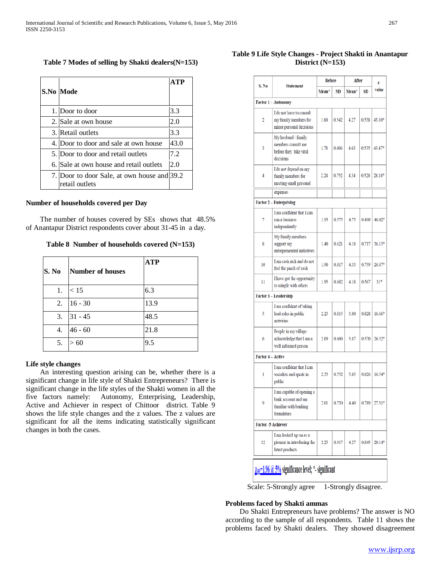| $-1$ . Clearly and Decident Clerk in Americans |  |
|------------------------------------------------|--|
|                                                |  |
|                                                |  |
|                                                |  |
|                                                |  |
|                                                |  |
|                                                |  |

|  | Table 7 Modes of selling by Shakti dealers(N=153) |  |  |  |  |
|--|---------------------------------------------------|--|--|--|--|
|--|---------------------------------------------------|--|--|--|--|

| S.No  Mode                                                    | <b>ATP</b> |
|---------------------------------------------------------------|------------|
| 1. Door to door                                               | 3.3        |
| 2. Sale at own house                                          | 2.0        |
| 3. Retail outlets                                             | 3.3        |
| 4. Door to door and sale at own house                         | 43.0       |
| 5. Door to door and retail outlets                            | 7.2        |
| 6. Sale at own house and retail outlets                       | 2.0        |
| 7. Door to door Sale, at own house and 39.2<br>retail outlets |            |

### **Number of households covered per Day**

 The number of houses covered by SEs shows that 48.5% of Anantapur District respondents cover about 31-45 in a day.

**Table 8 Number of households covered (N=153)**

| S. No | Number of houses | <b>ATP</b> |
|-------|------------------|------------|
| 1.    | < 15             | 6.3        |
| 2.    | $16 - 30$        | 13.9       |
| 3.    | $31 - 45$        | 48.5       |
| 4.    | $46 - 60$        | 21.8       |
| 5.    | 60               | 9.5        |

## **Life style changes**

 An interesting question arising can be, whether there is a significant change in life style of Shakti Entrepreneurs? There is significant change in the life styles of the Shakti women in all the five factors namely: Autonomy, Enterprising, Leadership, Active and Achiever in respect of Chittoor district. Table 9 shows the life style changes and the z values. The z values are significant for all the items indicating statistically significant changes in both the cases.

| S, No                                                                                                | <b>Statement</b>                                                                         | <b>Before</b> |       | After |           | $\mathbf{z}$    |
|------------------------------------------------------------------------------------------------------|------------------------------------------------------------------------------------------|---------------|-------|-------|-----------|-----------------|
|                                                                                                      |                                                                                          | Mean*         | SD    | Mean* | <b>SD</b> | value           |
|                                                                                                      | Factor 1 - Autonomy                                                                      |               |       |       |           |                 |
| 2                                                                                                    | I do not have to consult<br>my family members for<br>minor personal decisions            | 1.60          | 0.542 | 4.27  | 0.538     | 43.10*          |
| 3                                                                                                    | My husband / family<br>members consult me<br>before they take vital<br>decisions         | 1.78          | 0.606 | 4.63  | 0.535     | 43.47*          |
| 4                                                                                                    | I do not depend on my<br>family members for<br>meeting small personal                    | 2.24          | 0.752 | 4.34  | 0.528     | $28.18*$        |
|                                                                                                      | expenses                                                                                 |               |       |       |           |                 |
|                                                                                                      | <b>Factor 2 - Enterprising</b>                                                           |               |       |       |           |                 |
| 7                                                                                                    | I am confident that I can<br>run a business<br>independently                             | 1.93          | 0.575 | 4.75  | 0.490     | 46.02*          |
| 8                                                                                                    | My family members<br>support my<br>entrepreneurial initiatives                           | 1.40          | 0.621 | 418   | 0.717     | $36.13*$        |
| 10                                                                                                   | I am cash rich and do not<br>feel the pinch of cash                                      | 1.90          | 0.817 | 4.33  | 0.759     | $26.87*$        |
| 11                                                                                                   | I have got the opportunity<br>to mingle with others                                      | 1.95          | 0.682 | 4.18  | 0.567     | 31 <sup>4</sup> |
|                                                                                                      | Factor 3 - Leadership                                                                    |               |       |       |           |                 |
| 5                                                                                                    | I am confident of taking<br>lead roles in public<br>activities                           | 2.23          | 0.815 | 3.80  | 0.828     | $16.66*$        |
| 6                                                                                                    | People in my village<br>acknowledge that I am a<br>well informed person                  | 2.09          | 0.600 | 3.87  | 0.570     | $26.52*$        |
| Factor 4 - Active                                                                                    |                                                                                          |               |       |       |           |                 |
| 1                                                                                                    | I am confident that I can<br>socialize and speak in<br>public                            | 2.33          | 0.752 | 3.83  | 0.826     | $16.54*$        |
| 9                                                                                                    | I am capable of opening a<br>bank account and am<br>familiar with banking<br>formalities | 2.01          | 0.730 | 4.40  | 0.789     | 27.31*          |
|                                                                                                      | <b>Factor -5 Achiever</b>                                                                |               |       |       |           |                 |
| 12                                                                                                   | I am looked up on as a<br>pioneer in introducing the<br>latest products                  | 2.23          | 0.917 | 4.27  | 0.845     | $20.14*$        |
| $\frac{\text{Z}_{\text{tab}}=1.96 \text{ (}0.5\text{%} \text{ significance level}; }$ *- significant |                                                                                          |               |       |       |           |                 |

Scale: 5-Strongly agree 1-Strongly disagree.

## **Problems faced by Shakti ammas**

 Do Shakti Entrepreneurs have problems? The answer is NO according to the sample of all respondents. Table 11 shows the problems faced by Shakti dealers. They showed disagreement

## **Table 9 Life Style Changes - Project Shakti in Anantapur District (N=153)**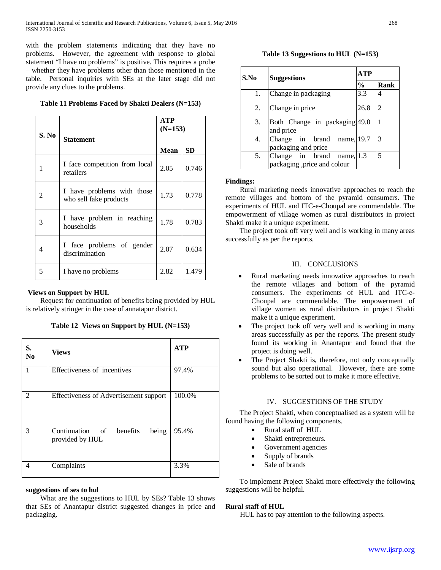with the problem statements indicating that they have no problems. However, the agreement with response to global statement "I have no problems" is positive. This requires a probe – whether they have problems other than those mentioned in the table. Personal inquiries with SEs at the later stage did not provide any clues to the problems.

## **Table 11 Problems Faced by Shakti Dealers (N=153)**

|       |                                                      | <b>ATP</b><br>$(N=153)$ |           |  |
|-------|------------------------------------------------------|-------------------------|-----------|--|
| S. No | <b>Statement</b>                                     |                         |           |  |
|       |                                                      | <b>Mean</b>             | <b>SD</b> |  |
| 1     | I face competition from local<br>retailers           | 2.05                    | 0.746     |  |
| 2     | I have problems with those<br>who sell fake products | 1.73                    | 0.778     |  |
| 3     | I have problem in reaching<br>households             | 1.78                    | 0.783     |  |
| 4     | I face problems of gender<br>discrimination          | 2.07                    | 0.634     |  |
| 5     | I have no problems                                   | 2.82                    | 1.479     |  |

## **Views on Support by HUL**

 Request for continuation of benefits being provided by HUL is relatively stringer in the case of annatapur district.

|  |  |  | Table 12 Views on Support by HUL (N=153) |
|--|--|--|------------------------------------------|
|--|--|--|------------------------------------------|

| S.<br>N <sub>0</sub> | <b>Views</b>                                         | <b>ATP</b> |
|----------------------|------------------------------------------------------|------------|
| 1                    | Effectiveness of incentives                          | 97.4%      |
| 2                    | Effectiveness of Advertisement support               | 100.0%     |
| 3                    | Continuation of benefits<br>being<br>provided by HUL | 95.4%      |
| 4                    | Complaints                                           | 3.3%       |

## **suggestions of ses to hul**

 What are the suggestions to HUL by SEs? Table 13 shows that SEs of Anantapur district suggested changes in price and packaging.

## **Table 13 Suggestions to HUL (N=153)**

| S.No | <b>Suggestions</b>                                       | ATP           |      |
|------|----------------------------------------------------------|---------------|------|
|      |                                                          | $\frac{0}{0}$ | Rank |
| 1.   | Change in packaging                                      | 3.3           |      |
| 2.   | Change in price                                          | 26.8          |      |
| 3.   | Both Change in packaging 49.0<br>and price               |               |      |
| 4.   | Change in brand name, 19.7<br>packaging and price        |               | 3    |
| 5.   | Change in brand name, 1.3<br>packaging ,price and colour |               |      |

### **Findings:**

 Rural marketing needs innovative approaches to reach the remote villages and bottom of the pyramid consumers. The experiments of HUL and ITC-e-Choupal are commendable. The empowerment of village women as rural distributors in project Shakti make it a unique experiment.

 The project took off very well and is working in many areas successfully as per the reports.

## III. CONCLUSIONS

- Rural marketing needs innovative approaches to reach the remote villages and bottom of the pyramid consumers. The experiments of HUL and ITC-e-Choupal are commendable. The empowerment of village women as rural distributors in project Shakti make it a unique experiment.
- The project took off very well and is working in many areas successfully as per the reports. The present study found its working in Anantapur and found that the project is doing well.
- The Project Shakti is, therefore, not only conceptually sound but also operational. However, there are some problems to be sorted out to make it more effective.

## IV. SUGGESTIONS OF THE STUDY

 The Project Shakti, when conceptualised as a system will be found having the following components.

- Rural staff of HUL
- Shakti entrepreneurs.
- Government agencies
- Supply of brands
- Sale of brands

 To implement Project Shakti more effectively the following suggestions will be helpful.

## **Rural staff of HUL**

HUL has to pay attention to the following aspects.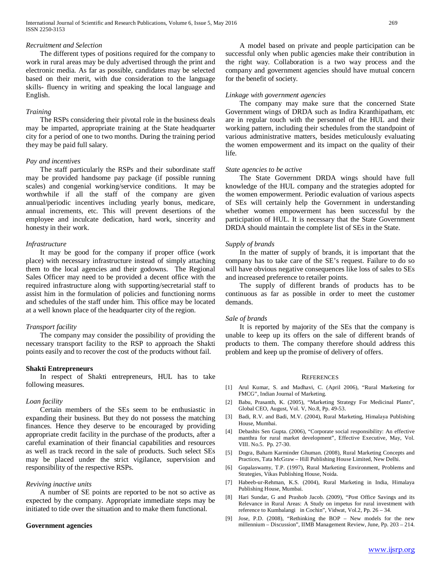#### *Recruitment and Selection*

 The different types of positions required for the company to work in rural areas may be duly advertised through the print and electronic media. As far as possible, candidates may be selected based on their merit, with due consideration to the language skills- fluency in writing and speaking the local language and English.

#### *Training*

 The RSPs considering their pivotal role in the business deals may be imparted, appropriate training at the State headquarter city for a period of one to two months. During the training period they may be paid full salary.

#### *Pay and incentives*

 The staff particularly the RSPs and their subordinate staff may be provided handsome pay package (if possible running scales) and congenial working/service conditions. It may be worthwhile if all the staff of the company are given annual/periodic incentives including yearly bonus, medicare, annual increments, etc. This will prevent desertions of the employee and inculcate dedication, hard work, sincerity and honesty in their work.

### *Infrastructure*

 It may be good for the company if proper office (work place) with necessary infrastructure instead of simply attaching them to the local agencies and their godowns. The Regional Sales Officer may need to be provided a decent office with the required infrastructure along with supporting/secretarial staff to assist him in the formulation of policies and functioning norms and schedules of the staff under him. This office may be located at a well known place of the headquarter city of the region.

## *Transport facility*

 The company may consider the possibility of providing the necessary transport facility to the RSP to approach the Shakti points easily and to recover the cost of the products without fail.

#### **Shakti Entrepreneurs**

 In respect of Shakti entrepreneurs, HUL has to take following measures.

#### *Loan facility*

 Certain members of the SEs seem to be enthusiastic in expanding their business. But they do not possess the matching finances. Hence they deserve to be encouraged by providing appropriate credit facility in the purchase of the products, after a careful examination of their financial capabilities and resources as well as track record in the sale of products. Such select SEs may be placed under the strict vigilance, supervision and responsibility of the respective RSPs.

#### *Reviving inactive units*

 A number of SE points are reported to be not so active as expected by the company. Appropriate immediate steps may be initiated to tide over the situation and to make them functional.

#### **Government agencies**

 A model based on private and people participation can be successful only when public agencies make their contribution in the right way. Collaboration is a two way process and the company and government agencies should have mutual concern for the benefit of society.

#### *Linkage with government agencies*

 The company may make sure that the concerned State Government wings of DRDA such as Indira Kranthipatham, etc are in regular touch with the personnel of the HUL and their working pattern, including their schedules from the standpoint of various administrative matters, besides meticulously evaluating the women empowerment and its impact on the quality of their life.

#### *State agencies to be active*

 The State Government DRDA wings should have full knowledge of the HUL company and the strategies adopted for the women empowerment. Periodic evaluation of various aspects of SEs will certainly help the Government in understanding whether women empowerment has been successful by the participation of HUL. It is necessary that the State Government DRDA should maintain the complete list of SEs in the State.

## *Supply of brands*

 In the matter of supply of brands, it is important that the company has to take care of the SE's request. Failure to do so will have obvious negative consequences like loss of sales to SEs and increased preference to retailer points.

 The supply of different brands of products has to be continuous as far as possible in order to meet the customer demands.

#### *Sale of brands*

 It is reported by majority of the SEs that the company is unable to keep up its offers on the sale of different brands of products to them. The company therefore should address this problem and keep up the promise of delivery of offers.

#### REFERENCES

- [1] Arul Kumar, S. and Madhavi, C. (April 2006), "Rural Marketing for FMCG", Indian Journal of Marketing.
- [2] Babu, Prasanth, K. (2005), "Marketing Strategy For Medicinal Plants", Global CEO, August, Vol. V, No.8, Pp. 49-53.
- [3] Badi, R.V. and Badi, M.V. (2004), Rural Marketing, Himalaya Publishing House, Mumbai.
- [4] Debashis Sen Gupta. (2006), "Corporate social responsibility: An effective manthra for rural market development", Effective Executive, May, Vol. VIII. No.5. Pp. 27-30.
- [5] Dogra, Baham Karminder Ghuman. (2008), Rural Marketing Concepts and Practices, Tata McGraw – Hill Publishing House Limited, New Delhi.
- [6] Gopalaswamy, T.P. (1997), Rural Marketing Environment, Problems and Strategies, Vikas Publishing House, Noida.
- [7] Habeeb-ur-Rehman, K.S. (2004), Rural Marketing in India, Himalaya Publishing House, Mumbai.
- [8] Hari Sundar, G and Prashob Jacob. (2009), "Post Office Savings and its Relevance in Rural Areas: A Study on impetus for rural investment with reference to Kumbalangi in Cochin", Vidwat, Vol.2, Pp. 26 – 34.
- [9] Jose, P.D. (2008), "Rethinking the BOP New models for the new millennium – Discussion", IIMB Management Review, June, Pp. 203 – 214.